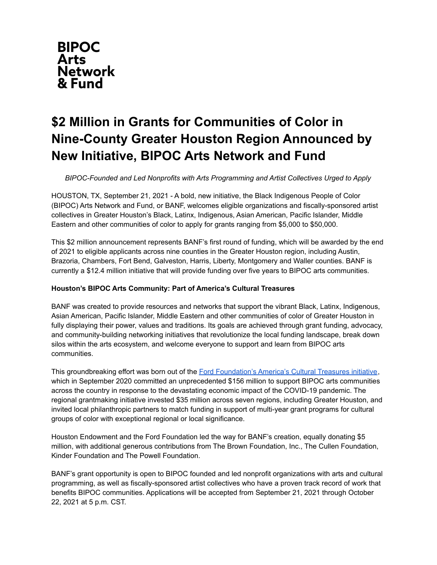

# **\$2 Million in Grants for Communities of Color in Nine-County Greater Houston Region Announced by New Initiative, BIPOC Arts Network and Fund**

*BIPOC-Founded and Led Nonprofits with Arts Programming and Artist Collectives Urged to Apply*

HOUSTON, TX, September 21, 2021 - A bold, new initiative, the Black Indigenous People of Color (BIPOC) Arts Network and Fund, or BANF, welcomes eligible organizations and fiscally-sponsored artist collectives in Greater Houston's Black, Latinx, Indigenous, Asian American, Pacific Islander, Middle Eastern and other communities of color to apply for grants ranging from \$5,000 to \$50,000.

This \$2 million announcement represents BANF's first round of funding, which will be awarded by the end of 2021 to eligible applicants across nine counties in the Greater Houston region, including Austin, Brazoria, Chambers, Fort Bend, Galveston, Harris, Liberty, Montgomery and Waller counties. BANF is currently a \$12.4 million initiative that will provide funding over five years to BIPOC arts communities.

## **Houston's BIPOC Arts Community: Part of America's Cultural Treasures**

BANF was created to provide resources and networks that support the vibrant Black, Latinx, Indigenous, Asian American, Pacific Islander, Middle Eastern and other communities of color of Greater Houston in fully displaying their power, values and traditions. Its goals are achieved through grant funding, advocacy, and community-building networking initiatives that revolutionize the local funding landscape, break down silos within the arts ecosystem, and welcome everyone to support and learn from BIPOC arts communities.

This groundbreaking effort was born out of the Ford [Foundation's](https://www.fordfoundation.org/the-latest/news-additional-pages/faqs-america-s-cultural-treasures/) America's Cultural Treasures initiative, which in September 2020 committed an unprecedented \$156 million to support BIPOC arts communities across the country in response to the devastating economic impact of the COVID-19 pandemic. The regional grantmaking initiative invested \$35 million across seven regions, including Greater Houston, and invited local philanthropic partners to match funding in support of multi-year grant programs for cultural groups of color with exceptional regional or local significance.

Houston Endowment and the Ford Foundation led the way for BANF's creation, equally donating \$5 million, with additional generous contributions from The Brown Foundation, Inc., The Cullen Foundation, Kinder Foundation and The Powell Foundation.

BANF's grant opportunity is open to BIPOC founded and led nonprofit organizations with arts and cultural programming, as well as fiscally-sponsored artist collectives who have a proven track record of work that benefits BIPOC communities. Applications will be accepted from September 21, 2021 through October 22, 2021 at 5 p.m. CST.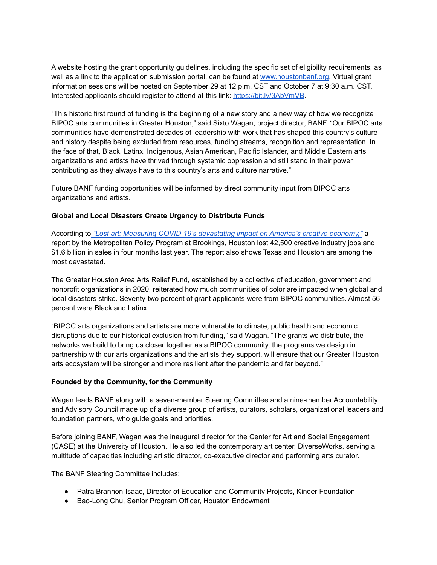A website hosting the grant opportunity guidelines, including the specific set of eligibility requirements, as well as a link to the application submission portal, can be found at [www.houstonbanf.org.](http://www.houstonbanf.org) Virtual grant information sessions will be hosted on September 29 at 12 p.m. CST and October 7 at 9:30 a.m. CST. Interested applicants should register to attend at this link[:](https://form.jotform.com/212566807322152) <https://bit.ly/3AbVmVB>.

"This historic first round of funding is the beginning of a new story and a new way of how we recognize BIPOC arts communities in Greater Houston," said Sixto Wagan, project director, BANF. "Our BIPOC arts communities have demonstrated decades of leadership with work that has shaped this country's culture and history despite being excluded from resources, funding streams, recognition and representation. In the face of that, Black, Latinx, Indigenous, Asian American, Pacific Islander, and Middle Eastern arts organizations and artists have thrived through systemic oppression and still stand in their power contributing as they always have to this country's arts and culture narrative."

Future BANF funding opportunities will be informed by direct community input from BIPOC arts organizations and artists.

## **Global and Local Disasters Create Urgency to Distribute Funds**

According to *"Lost art: Measuring [COVID-19's](https://www.brookings.edu/research/lost-art-measuring-covid-19s-devastating-impact-on-americas-creative-economy/) devastating impact on America's creative economy,"* a report by the Metropolitan Policy Program at Brookings, Houston lost 42,500 creative industry jobs and \$1.6 billion in sales in four months last year. The report also shows Texas and Houston are among the most devastated.

The Greater Houston Area Arts Relief Fund, established by a collective of education, government and nonprofit organizations in 2020, reiterated how much communities of color are impacted when global and local disasters strike. Seventy-two percent of grant applicants were from BIPOC communities. Almost 56 percent were Black and Latinx.

"BIPOC arts organizations and artists are more vulnerable to climate, public health and economic disruptions due to our historical exclusion from funding," said Wagan. "The grants we distribute, the networks we build to bring us closer together as a BIPOC community, the programs we design in partnership with our arts organizations and the artists they support, will ensure that our Greater Houston arts ecosystem will be stronger and more resilient after the pandemic and far beyond."

## **Founded by the Community, for the Community**

Wagan leads BANF along with a seven-member Steering Committee and a nine-member Accountability and Advisory Council made up of a diverse group of artists, curators, scholars, organizational leaders and foundation partners, who guide goals and priorities.

Before joining BANF, Wagan was the inaugural director for the Center for Art and Social Engagement (CASE) at the University of Houston. He also led the contemporary art center, DiverseWorks, serving a multitude of capacities including artistic director, co-executive director and performing arts curator.

The BANF Steering Committee includes:

- Patra Brannon-Isaac, Director of Education and Community Projects, Kinder Foundation
- Bao-Long Chu, Senior Program Officer, Houston Endowment